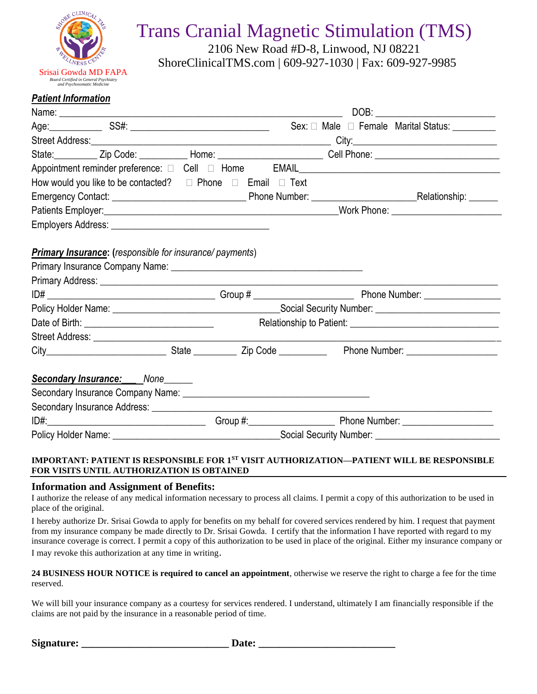

## Trans Cranial Magnetic Stimulation (TMS)

2106 New Road #D-8, Linwood, NJ 08221 ShoreClinicalTMS.com | 609-927-1030 | Fax: 609-927-9985

#### *Patient Information*

|  |                                                                           |  |  |  | Age: SS#: SS#: SS#: Sex: □ Male □ Female Marital Status:                                                             |  |
|--|---------------------------------------------------------------------------|--|--|--|----------------------------------------------------------------------------------------------------------------------|--|
|  |                                                                           |  |  |  |                                                                                                                      |  |
|  |                                                                           |  |  |  | State: ____________ Zip Code: ____________ Home: _____________________________Cell Phone: __________________________ |  |
|  |                                                                           |  |  |  | Appointment reminder preference: $\Box$ Cell $\Box$ Home EMAIL EMAIL EMAIL EMAIL EXAMPLE 2014                        |  |
|  | How would you like to be contacted? $\Box$ Phone $\Box$ Email $\Box$ Text |  |  |  |                                                                                                                      |  |
|  |                                                                           |  |  |  |                                                                                                                      |  |
|  |                                                                           |  |  |  |                                                                                                                      |  |
|  |                                                                           |  |  |  |                                                                                                                      |  |
|  |                                                                           |  |  |  |                                                                                                                      |  |
|  |                                                                           |  |  |  |                                                                                                                      |  |
|  |                                                                           |  |  |  |                                                                                                                      |  |
|  |                                                                           |  |  |  |                                                                                                                      |  |
|  |                                                                           |  |  |  |                                                                                                                      |  |
|  | Secondary Insurance: None                                                 |  |  |  |                                                                                                                      |  |
|  |                                                                           |  |  |  |                                                                                                                      |  |
|  |                                                                           |  |  |  |                                                                                                                      |  |
|  |                                                                           |  |  |  |                                                                                                                      |  |
|  |                                                                           |  |  |  |                                                                                                                      |  |

#### **IMPORTANT: PATIENT IS RESPONSIBLE FOR 1ST VISIT AUTHORIZATION—PATIENT WILL BE RESPONSIBLE FOR VISITS UNTIL AUTHORIZATION IS OBTAINED**

#### **Information and Assignment of Benefits:**

I authorize the release of any medical information necessary to process all claims. I permit a copy of this authorization to be used in place of the original.

I hereby authorize Dr. Srisai Gowda to apply for benefits on my behalf for covered services rendered by him. I request that payment from my insurance company be made directly to Dr. Srisai Gowda. I certify that the information I have reported with regard to my insurance coverage is correct. I permit a copy of this authorization to be used in place of the original. Either my insurance company or I may revoke this authorization at any time in writing.

#### **24 BUSINESS HOUR NOTICE is required to cancel an appointment**, otherwise we reserve the right to charge a fee for the time reserved.

We will bill your insurance company as a courtesy for services rendered. I understand, ultimately I am financially responsible if the claims are not paid by the insurance in a reasonable period of time.

| Signature: | Date: |  |
|------------|-------|--|
|            |       |  |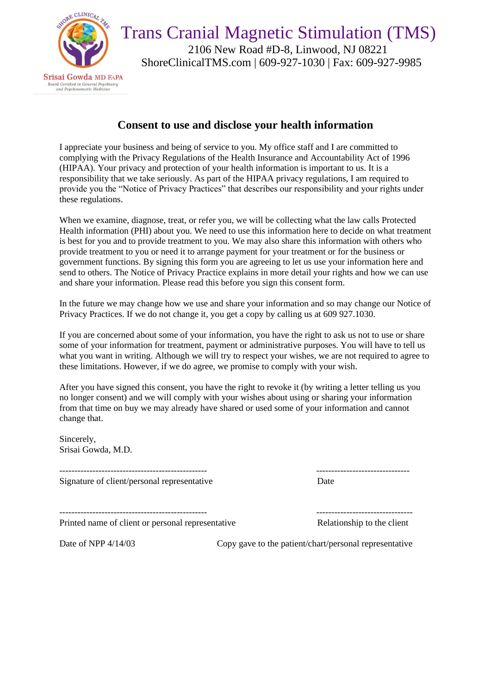

Trans Cranial Magnetic Stimulation (TMS) 2106 New Road #D-8, Linwood, NJ 08221 ShoreClinicalTMS.com | 609-927-1030 | Fax: 609-927-9985

## **Consent to use and disclose your health information**

I appreciate your business and being of service to you. My office staff and I are committed to complying with the Privacy Regulations of the Health Insurance and Accountability Act of 1996 (HIPAA). Your privacy and protection of your health information is important to us. It is a responsibility that we take seriously. As part of the HIPAA privacy regulations, I am required to provide you the "Notice of Privacy Practices" that describes our responsibility and your rights under these regulations.

When we examine, diagnose, treat, or refer you, we will be collecting what the law calls Protected Health information (PHI) about you. We need to use this information here to decide on what treatment is best for you and to provide treatment to you. We may also share this information with others who provide treatment to you or need it to arrange payment for your treatment or for the business or government functions. By signing this form you are agreeing to let us use your information here and send to others. The Notice of Privacy Practice explains in more detail your rights and how we can use and share your information. Please read this before you sign this consent form.

In the future we may change how we use and share your information and so may change our Notice of Privacy Practices. If we do not change it, you get a copy by calling us at 609 927.1030.

If you are concerned about some of your information, you have the right to ask us not to use or share some of your information for treatment, payment or administrative purposes. You will have to tell us what you want in writing. Although we will try to respect your wishes, we are not required to agree to these limitations. However, if we do agree, we promise to comply with your wish.

After you have signed this consent, you have the right to revoke it (by writing a letter telling us you no longer consent) and we will comply with your wishes about using or sharing your information from that time on buy we may already have shared or used some of your information and cannot change that.

Sincerely, Srisai Gowda, M.D.

------------------------------------------------- ------------------------------- Signature of client/personal representative Date

------------------------------------------------- --------------------------------

Printed name of client or personal representative Relationship to the client

Date of NPP 4/14/03 Copy gave to the patient/chart/personal representative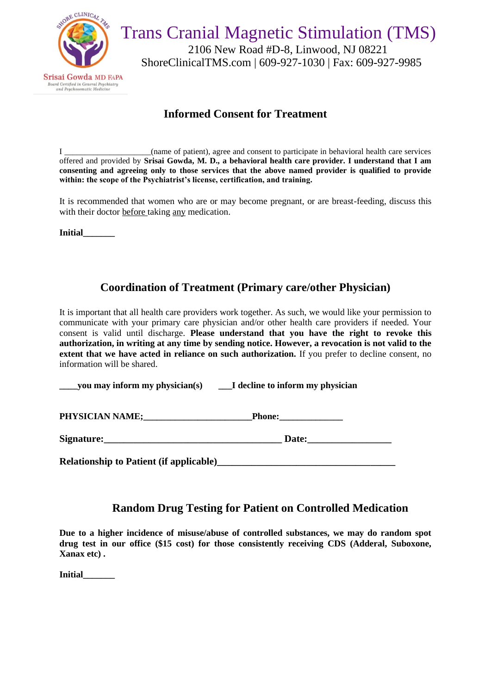

## **Informed Consent for Treatment**

I \_\_\_\_\_\_\_\_\_\_\_\_\_\_\_\_\_\_\_\_\_(name of patient), agree and consent to participate in behavioral health care services offered and provided by **Srisai Gowda, M. D., a behavioral health care provider. I understand that I am consenting and agreeing only to those services that the above named provider is qualified to provide within: the scope of the Psychiatrist's license, certification, and training.**

It is recommended that women who are or may become pregnant, or are breast-feeding, discuss this with their doctor before taking any medication.

**Initial\_\_\_\_\_\_\_**

## **Coordination of Treatment (Primary care/other Physician)**

It is important that all health care providers work together. As such, we would like your permission to communicate with your primary care physician and/or other health care providers if needed. Your consent is valid until discharge. **Please understand that you have the right to revoke this authorization, in writing at any time by sending notice. However, a revocation is not valid to the extent that we have acted in reliance on such authorization.** If you prefer to decline consent, no information will be shared.

**\_\_\_\_you may inform my physician(s) \_\_\_I decline to inform my physician**

PHYSICIAN NAME; Phone:

**Signature: Constanting Date: Date:** 

**Relationship to Patient (if applicable)** 

## **Random Drug Testing for Patient on Controlled Medication**

**Due to a higher incidence of misuse/abuse of controlled substances, we may do random spot drug test in our office (\$15 cost) for those consistently receiving CDS (Adderal, Suboxone, Xanax etc) .** 

**Initial\_\_\_\_\_\_\_**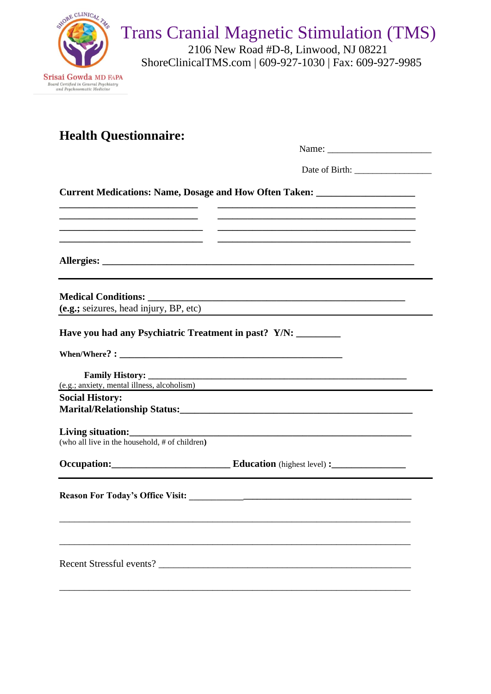| SHORE CLINICAL PAG<br>Srisai Gowda MD FAPA<br>Board Certified in General Psychiatry<br>and Psychosomatic Medicine | <b>Trans Cranial Magnetic Stimulation (TMS)</b><br>2106 New Road #D-8, Linwood, NJ 08221<br>ShoreClinicalTMS.com   609-927-1030   Fax: 609-927-9985 |
|-------------------------------------------------------------------------------------------------------------------|-----------------------------------------------------------------------------------------------------------------------------------------------------|
| <b>Health Questionnaire:</b>                                                                                      |                                                                                                                                                     |
|                                                                                                                   |                                                                                                                                                     |
|                                                                                                                   | <b>Current Medications: Name, Dosage and How Often Taken:</b>                                                                                       |
|                                                                                                                   |                                                                                                                                                     |
| (e.g.; seizures, head injury, BP, etc)<br>Have you had any Psychiatric Treatment in past? Y/N:                    |                                                                                                                                                     |
|                                                                                                                   | (e.g.; anxiety, mental illness, alcoholism)                                                                                                         |
| <b>Social History:</b>                                                                                            |                                                                                                                                                     |
| (who all live in the household, # of children)                                                                    |                                                                                                                                                     |
|                                                                                                                   |                                                                                                                                                     |
|                                                                                                                   |                                                                                                                                                     |
|                                                                                                                   |                                                                                                                                                     |